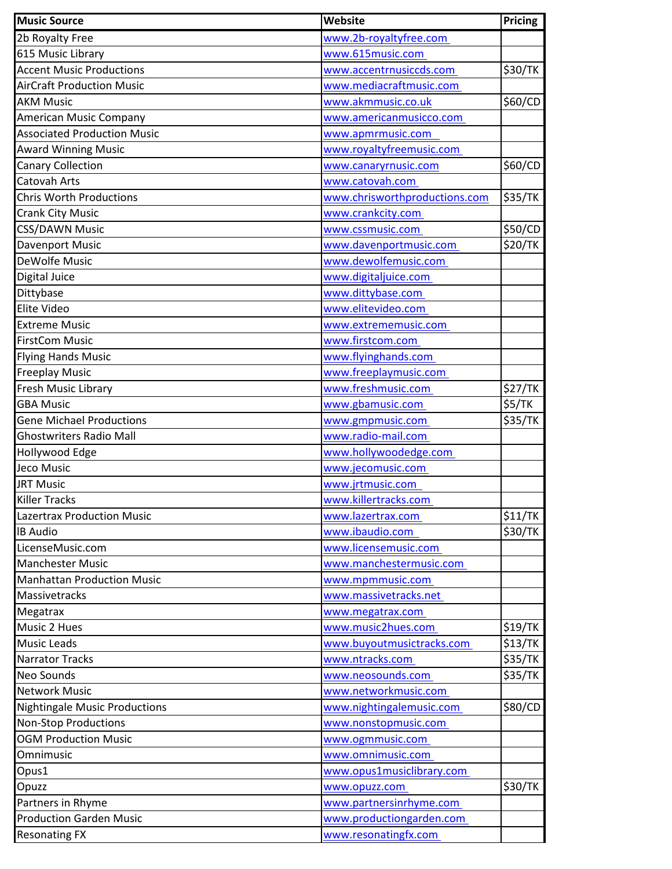| <b>Music Source</b>                  | Website                       | Pricing |
|--------------------------------------|-------------------------------|---------|
| 2b Royalty Free                      | www.2b-royaltyfree.com        |         |
| 615 Music Library                    | www.615music.com              |         |
| <b>Accent Music Productions</b>      | www.accentrnusiccds.com       | \$30/TK |
| <b>AirCraft Production Music</b>     | www.mediacraftmusic.com       |         |
| <b>AKM Music</b>                     | www.akmmusic.co.uk            | \$60/CD |
| American Music Company               | www.americanmusicco.com       |         |
| <b>Associated Production Music</b>   | www.apmrmusic.com             |         |
| <b>Award Winning Music</b>           | www.royaltyfreemusic.com      |         |
| <b>Canary Collection</b>             | www.canaryrnusic.com          | \$60/CD |
| Catovah Arts                         | www.catovah.com               |         |
| <b>Chris Worth Productions</b>       | www.chrisworthproductions.com | \$35/TK |
| <b>Crank City Music</b>              | www.crankcity.com             |         |
| <b>CSS/DAWN Music</b>                | www.cssmusic.com              | \$50/CD |
| Davenport Music                      | www.davenportmusic.com        | \$20/TK |
| DeWolfe Music                        | www.dewolfemusic.com          |         |
| Digital Juice                        | www.digitaljuice.com          |         |
| Dittybase                            | www.dittybase.com             |         |
| Elite Video                          | www.elitevideo.com            |         |
| <b>Extreme Music</b>                 | www.extrememusic.com          |         |
| <b>FirstCom Music</b>                | www.firstcom.com              |         |
| <b>Flying Hands Music</b>            | www.flyinghands.com           |         |
| <b>Freeplay Music</b>                | www.freeplaymusic.com         |         |
| Fresh Music Library                  | www.freshmusic.com            | \$27/TK |
| <b>GBA Music</b>                     | www.gbamusic.com              | \$5/TK  |
| <b>Gene Michael Productions</b>      | www.gmpmusic.com              | \$35/TK |
| <b>Ghostwriters Radio Mall</b>       | www.radio-mail.com            |         |
| Hollywood Edge                       | www.hollywoodedge.com         |         |
| Jeco Music                           | www.jecomusic.com             |         |
| <b>JRT Music</b>                     | www.jrtmusic.com              |         |
| <b>Killer Tracks</b>                 | www.killertracks.com          |         |
| <b>Lazertrax Production Music</b>    | www.lazertrax.com             | \$11/TK |
| <b>IB Audio</b>                      | www.ibaudio.com               | \$30/TK |
| LicenseMusic.com                     | www.licensemusic.com          |         |
| <b>Manchester Music</b>              | www.manchestermusic.com       |         |
| <b>Manhattan Production Music</b>    | www.mpmmusic.com              |         |
| Massivetracks                        | www.massivetracks.net         |         |
| Megatrax                             | www.megatrax.com              |         |
| Music 2 Hues                         | www.music2hues.com            | \$19/TK |
| <b>Music Leads</b>                   | www.buyoutmusictracks.com     | \$13/TK |
| <b>Narrator Tracks</b>               | www.ntracks.com               | \$35/TK |
| <b>Neo Sounds</b>                    | www.neosounds.com             | \$35/TK |
| <b>Network Music</b>                 | www.networkmusic.com          |         |
| <b>Nightingale Music Productions</b> | www.nightingalemusic.com      | \$80/CD |
| <b>Non-Stop Productions</b>          | www.nonstopmusic.com          |         |
| <b>OGM Production Music</b>          | www.ogmmusic.com              |         |
| Omnimusic                            | www.omnimusic.com             |         |
| Opus1                                | www.opus1musiclibrary.com     |         |
| Opuzz                                | www.opuzz.com                 | \$30/TK |
| Partners in Rhyme                    | www.partnersinrhyme.com       |         |
| <b>Production Garden Music</b>       | www.productiongarden.com      |         |
|                                      |                               |         |
| <b>Resonating FX</b>                 | www.resonatingfx.com          |         |